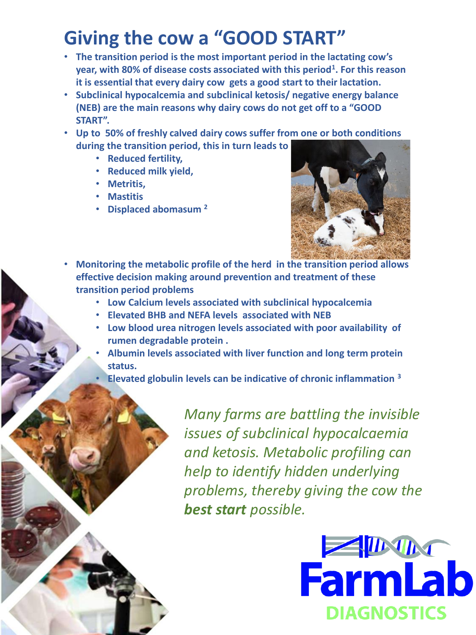## **Giving the cow a "GOOD START"**

- **The transition period is the most important period in the lactating cow's year, with 80% of disease costs associated with this period<sup>1</sup> . For this reason it is essential that every dairy cow gets a good start to their lactation.**
- **Subclinical hypocalcemia and subclinical ketosis/ negative energy balance (NEB) are the main reasons why dairy cows do not get off to a "GOOD START".**
- **Up to 50% of freshly calved dairy cows suffer from one or both conditions during the transition period, this in turn leads to** 
	- **Reduced fertility,**
	- **Reduced milk yield,**
	- **Metritis,**
	- **Mastitis**
	- **Displaced abomasum <sup>2</sup>**



- **Monitoring the metabolic profile of the herd in the transition period allows effective decision making around prevention and treatment of these transition period problems**
	- **Low Calcium levels associated with subclinical hypocalcemia**
	- **Elevated BHB and NEFA levels associated with NEB**
	- **Low blood urea nitrogen levels associated with poor availability of rumen degradable protein .**
	- **Albumin levels associated with liver function and long term protein status.** 
		- **Elevated globulin levels can be indicative of chronic inflammation <sup>3</sup>**

*Many farms are battling the invisible issues of subclinical hypocalcaemia and ketosis. Metabolic profiling can help to identify hidden underlying problems, thereby giving the cow the best start possible.*